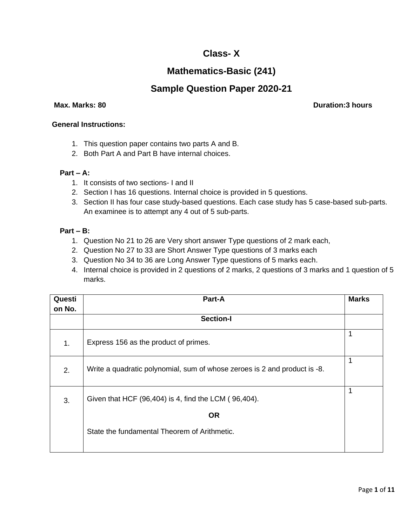## **Class- X**

# **Mathematics-Basic (241)**

## **Sample Question Paper 2020-21**

 **Max. Marks: 80 Duration:3 hours**

### **General Instructions:**

- 1. This question paper contains two parts A and B.
- 2. Both Part A and Part B have internal choices.

### **Part – A:**

- 1. It consists of two sections- I and II
- 2. Section I has 16 questions. Internal choice is provided in 5 questions.
- 3. Section II has four case study-based questions. Each case study has 5 case-based sub-parts. An examinee is to attempt any 4 out of 5 sub-parts.

## **Part – B:**

- 1. Question No 21 to 26 are Very short answer Type questions of 2 mark each,
- 2. Question No 27 to 33 are Short Answer Type questions of 3 marks each
- 3. Question No 34 to 36 are Long Answer Type questions of 5 marks each.
- 4. Internal choice is provided in 2 questions of 2 marks, 2 questions of 3 marks and 1 question of 5 marks.

| Questi | Part-A                                                                    | <b>Marks</b> |
|--------|---------------------------------------------------------------------------|--------------|
| on No. |                                                                           |              |
|        | Section-I                                                                 |              |
| 1.     | Express 156 as the product of primes.                                     |              |
| 2.     | Write a quadratic polynomial, sum of whose zeroes is 2 and product is -8. | 1            |
| 3.     | Given that HCF (96,404) is 4, find the LCM (96,404).                      | 1            |
|        | <b>OR</b>                                                                 |              |
|        | State the fundamental Theorem of Arithmetic.                              |              |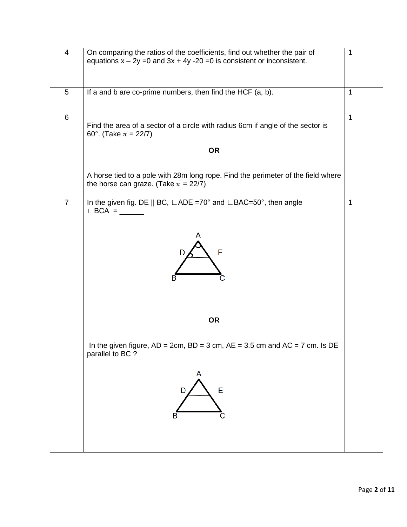| 4              | On comparing the ratios of the coefficients, find out whether the pair of<br>equations $x - 2y = 0$ and $3x + 4y - 20 = 0$ is consistent or inconsistent. | 1            |
|----------------|-----------------------------------------------------------------------------------------------------------------------------------------------------------|--------------|
| 5              | If a and b are co-prime numbers, then find the HCF (a, b).                                                                                                | $\mathbf 1$  |
| 6              | Find the area of a sector of a circle with radius 6cm if angle of the sector is<br>60°. (Take $\pi = 22/7$ )                                              | $\mathbf 1$  |
|                | <b>OR</b>                                                                                                                                                 |              |
|                | A horse tied to a pole with 28m long rope. Find the perimeter of the field where<br>the horse can graze. (Take $\pi = 22/7$ )                             |              |
| $\overline{7}$ | In the given fig. DE    BC, $\Box$ ADE =70° and $\Box$ BAC=50°, then angle<br>$\mathsf{L}\mathsf{BCA} = \_\_\_\_\_\_\_\_\$                                | $\mathbf{1}$ |
|                | E<br>в                                                                                                                                                    |              |
|                | <b>OR</b>                                                                                                                                                 |              |
|                | In the given figure, $AD = 2cm$ , $BD = 3 cm$ , $AE = 3.5 cm$ and $AC = 7 cm$ . Is DE<br>parallel to BC ?                                                 |              |
|                | A<br>E<br>D<br>в                                                                                                                                          |              |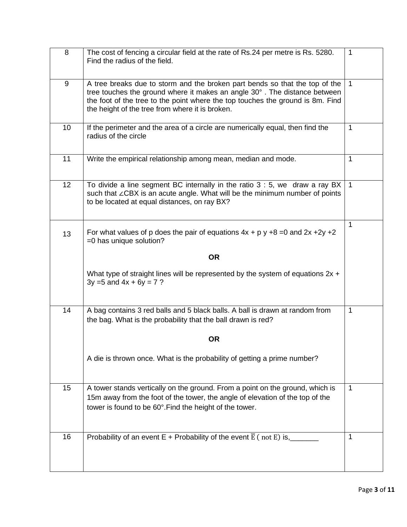| 8  | The cost of fencing a circular field at the rate of Rs.24 per metre is Rs. 5280.<br>Find the radius of the field.                                                                                                                                                                             | $\mathbf{1}$ |
|----|-----------------------------------------------------------------------------------------------------------------------------------------------------------------------------------------------------------------------------------------------------------------------------------------------|--------------|
| 9  | A tree breaks due to storm and the broken part bends so that the top of the<br>tree touches the ground where it makes an angle 30°. The distance between<br>the foot of the tree to the point where the top touches the ground is 8m. Find<br>the height of the tree from where it is broken. | $\mathbf{1}$ |
| 10 | If the perimeter and the area of a circle are numerically equal, then find the<br>radius of the circle                                                                                                                                                                                        | $\mathbf{1}$ |
| 11 | Write the empirical relationship among mean, median and mode.                                                                                                                                                                                                                                 | $\mathbf{1}$ |
| 12 | To divide a line segment BC internally in the ratio $3:5$ , we draw a ray BX<br>such that ∠CBX is an acute angle. What will be the minimum number of points<br>to be located at equal distances, on ray BX?                                                                                   | $\mathbf{1}$ |
| 13 | For what values of p does the pair of equations $4x + p y +8 = 0$ and $2x + 2y +2$<br>=0 has unique solution?                                                                                                                                                                                 | $\mathbf{1}$ |
|    | <b>OR</b>                                                                                                                                                                                                                                                                                     |              |
|    | What type of straight lines will be represented by the system of equations $2x +$<br>$3y = 5$ and $4x + 6y = 7$ ?                                                                                                                                                                             |              |
| 14 | A bag contains 3 red balls and 5 black balls. A ball is drawn at random from<br>the bag. What is the probability that the ball drawn is red?                                                                                                                                                  | $\mathbf{1}$ |
|    | <b>OR</b>                                                                                                                                                                                                                                                                                     |              |
|    | A die is thrown once. What is the probability of getting a prime number?                                                                                                                                                                                                                      |              |
| 15 | A tower stands vertically on the ground. From a point on the ground, which is<br>15m away from the foot of the tower, the angle of elevation of the top of the<br>tower is found to be 60°. Find the height of the tower.                                                                     | 1            |
| 16 | Probability of an event E + Probability of the event $\overline{E}$ (not E) is,                                                                                                                                                                                                               | $\mathbf{1}$ |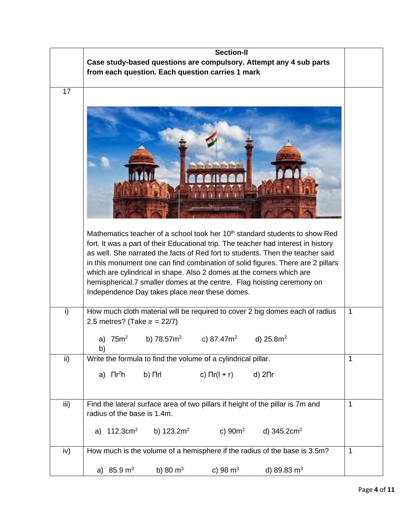|      | <b>Section-II</b>                                                                                                                                                                                                                                                                                                                                                                                                                                                                                                                                       |              |
|------|---------------------------------------------------------------------------------------------------------------------------------------------------------------------------------------------------------------------------------------------------------------------------------------------------------------------------------------------------------------------------------------------------------------------------------------------------------------------------------------------------------------------------------------------------------|--------------|
|      | Case study-based questions are compulsory. Attempt any 4 sub parts                                                                                                                                                                                                                                                                                                                                                                                                                                                                                      |              |
|      | from each question. Each question carries 1 mark                                                                                                                                                                                                                                                                                                                                                                                                                                                                                                        |              |
|      |                                                                                                                                                                                                                                                                                                                                                                                                                                                                                                                                                         |              |
| 17   |                                                                                                                                                                                                                                                                                                                                                                                                                                                                                                                                                         |              |
|      | Mathematics teacher of a school took her 10 <sup>th</sup> standard students to show Red<br>fort. It was a part of their Educational trip. The teacher had interest in history<br>as well. She narrated the facts of Red fort to students. Then the teacher said<br>in this monument one can find combination of solid figures. There are 2 pillars<br>which are cylindrical in shape. Also 2 domes at the corners which are<br>hemispherical.7 smaller domes at the centre. Flag hoisting ceremony on<br>Independence Day takes place near these domes. |              |
| i)   | How much cloth material will be required to cover 2 big domes each of radius<br>2.5 metres? (Take $\pi = 22/7$ )                                                                                                                                                                                                                                                                                                                                                                                                                                        | $\mathbf{1}$ |
|      | a) $75m^2$<br>b) $78.572$<br>c) 87.47m <sup>2</sup><br>d) $25.8m2$<br>b)                                                                                                                                                                                                                                                                                                                                                                                                                                                                                |              |
| ii)  | Write the formula to find the volume of a cylindrical pillar.                                                                                                                                                                                                                                                                                                                                                                                                                                                                                           | $\mathbf 1$  |
|      | a) $\prod r^2 h$<br>$b)$ $\Pi$ rl<br>c) $\prod r(l + r)$<br>d) $2\pi r$                                                                                                                                                                                                                                                                                                                                                                                                                                                                                 |              |
| iii) | Find the lateral surface area of two pillars if height of the pillar is 7m and                                                                                                                                                                                                                                                                                                                                                                                                                                                                          | $\mathbf{1}$ |
|      | radius of the base is 1.4m.                                                                                                                                                                                                                                                                                                                                                                                                                                                                                                                             |              |
|      | a) $112.3 \text{cm}^2$ b) $123.2 \text{m}^2$ c) $90 \text{m}^2$ d) $345.2 \text{cm}^2$                                                                                                                                                                                                                                                                                                                                                                                                                                                                  |              |
| iv)  | How much is the volume of a hemisphere if the radius of the base is 3.5m?                                                                                                                                                                                                                                                                                                                                                                                                                                                                               | 1            |
|      | a) $85.9 \text{ m}^3$<br>b) 80 $m^3$<br>c) 98 $m^3$<br>d) 89.83 $m3$                                                                                                                                                                                                                                                                                                                                                                                                                                                                                    |              |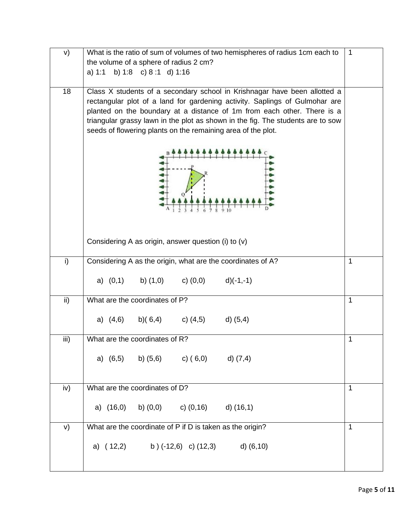| V)   | What is the ratio of sum of volumes of two hemispheres of radius 1cm each to                                                                                                                                                                                                                                                                                                           | $\mathbf{1}$ |  |  |  |
|------|----------------------------------------------------------------------------------------------------------------------------------------------------------------------------------------------------------------------------------------------------------------------------------------------------------------------------------------------------------------------------------------|--------------|--|--|--|
|      | the volume of a sphere of radius 2 cm?                                                                                                                                                                                                                                                                                                                                                 |              |  |  |  |
|      | b) 1:8 c) 8:1 d) 1:16<br>a) 1:1                                                                                                                                                                                                                                                                                                                                                        |              |  |  |  |
| 18   | Class X students of a secondary school in Krishnagar have been allotted a<br>rectangular plot of a land for gardening activity. Saplings of Gulmohar are<br>planted on the boundary at a distance of 1m from each other. There is a<br>triangular grassy lawn in the plot as shown in the fig. The students are to sow<br>seeds of flowering plants on the remaining area of the plot. |              |  |  |  |
|      | Considering A as origin, answer question (i) to (v)                                                                                                                                                                                                                                                                                                                                    |              |  |  |  |
|      |                                                                                                                                                                                                                                                                                                                                                                                        |              |  |  |  |
| i)   | Considering A as the origin, what are the coordinates of A?                                                                                                                                                                                                                                                                                                                            | $\mathbf{1}$ |  |  |  |
|      | a) $(0,1)$ b) $(1,0)$ c) $(0,0)$ d) $(-1,-1)$                                                                                                                                                                                                                                                                                                                                          |              |  |  |  |
| ii)  | What are the coordinates of P?                                                                                                                                                                                                                                                                                                                                                         | $\mathbf{1}$ |  |  |  |
|      | a) $(4,6)$ b) $(6,4)$ c) $(4,5)$ d) $(5,4)$                                                                                                                                                                                                                                                                                                                                            |              |  |  |  |
| iii) | What are the coordinates of R?                                                                                                                                                                                                                                                                                                                                                         | 1            |  |  |  |
|      | a) $(6,5)$ b) $(5,6)$ c) $(6,0)$ d) $(7,4)$                                                                                                                                                                                                                                                                                                                                            |              |  |  |  |
| iv)  | What are the coordinates of D?                                                                                                                                                                                                                                                                                                                                                         | 1            |  |  |  |
|      | a) $(16,0)$ b) $(0,0)$ c) $(0,16)$ d) $(16,1)$                                                                                                                                                                                                                                                                                                                                         |              |  |  |  |
| V)   | What are the coordinate of P if D is taken as the origin?                                                                                                                                                                                                                                                                                                                              | 1            |  |  |  |
|      | a) $(12,2)$ b) $(-12,6)$ c) $(12,3)$ d) $(6,10)$                                                                                                                                                                                                                                                                                                                                       |              |  |  |  |
|      |                                                                                                                                                                                                                                                                                                                                                                                        |              |  |  |  |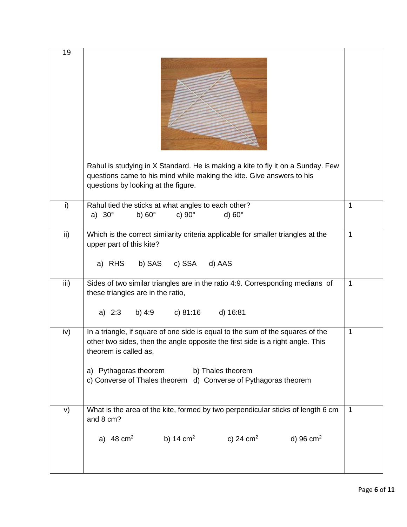| 19   |                                                                                                                                                                                                                                                                                                         |              |
|------|---------------------------------------------------------------------------------------------------------------------------------------------------------------------------------------------------------------------------------------------------------------------------------------------------------|--------------|
|      | Rahul is studying in X Standard. He is making a kite to fly it on a Sunday. Few<br>questions came to his mind while making the kite. Give answers to his<br>questions by looking at the figure.                                                                                                         |              |
| i)   | Rahul tied the sticks at what angles to each other?<br>a) $30^\circ$<br>c) $90^\circ$<br>b) $60^\circ$<br>d) $60^\circ$                                                                                                                                                                                 | $\mathbf 1$  |
| ii)  | Which is the correct similarity criteria applicable for smaller triangles at the<br>upper part of this kite?<br>a) RHS b) SAS c) SSA d) AAS                                                                                                                                                             | 1            |
| iii) | Sides of two similar triangles are in the ratio 4:9. Corresponding medians of<br>these triangles are in the ratio,<br>a) 2:3 b) 4:9 c) 81:16<br>d) 16:81                                                                                                                                                | $\mathbf{1}$ |
| iv)  | In a triangle, if square of one side is equal to the sum of the squares of the<br>other two sides, then the angle opposite the first side is a right angle. This<br>theorem is called as,<br>a) Pythagoras theorem b) Thales theorem<br>c) Converse of Thales theorem d) Converse of Pythagoras theorem | 1            |
| V)   | What is the area of the kite, formed by two perpendicular sticks of length 6 cm<br>and 8 cm?                                                                                                                                                                                                            | 1            |
|      | b) 14 cm <sup>2</sup> c) 24 cm <sup>2</sup> d) 96 cm <sup>2</sup><br>a) $48 \text{ cm}^2$                                                                                                                                                                                                               |              |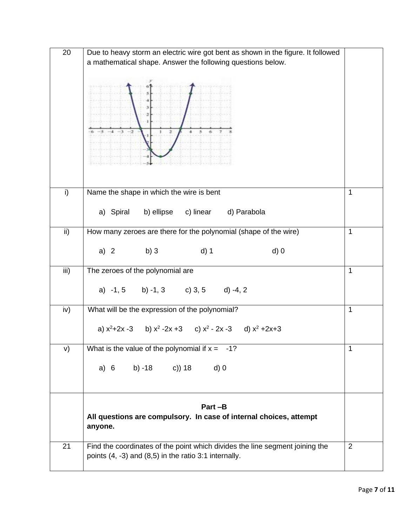| 20            | Due to heavy storm an electric wire got bent as shown in the figure. It followed |              |
|---------------|----------------------------------------------------------------------------------|--------------|
|               | a mathematical shape. Answer the following questions below.                      |              |
|               |                                                                                  |              |
|               |                                                                                  |              |
|               |                                                                                  |              |
|               |                                                                                  |              |
|               |                                                                                  |              |
|               |                                                                                  |              |
|               |                                                                                  |              |
|               |                                                                                  |              |
|               |                                                                                  |              |
|               |                                                                                  |              |
|               |                                                                                  |              |
|               |                                                                                  |              |
| i)            | Name the shape in which the wire is bent                                         | 1            |
|               | b) ellipse c) linear d) Parabola<br>a) Spiral                                    |              |
|               |                                                                                  |              |
| $\mathsf{ii}$ | How many zeroes are there for the polynomial (shape of the wire)                 | $\mathbf{1}$ |
|               |                                                                                  |              |
|               | $d)$ 1<br>a) 2 b) 3<br>$d)$ 0                                                    |              |
|               |                                                                                  |              |
| iii)          | The zeroes of the polynomial are                                                 | $\mathbf{1}$ |
|               |                                                                                  |              |
|               | a) $-1$ , 5 b) $-1$ , 3 c) 3, 5 d) $-4$ , 2                                      |              |
|               |                                                                                  |              |
| iv)           | What will be the expression of the polynomial?                                   | $\mathbf{1}$ |
|               |                                                                                  |              |
|               | a) $x^2+2x-3$ b) $x^2-2x+3$ c) $x^2-2x-3$ d) $x^2+2x+3$                          |              |
| V)            | What is the value of the polynomial if $x = -1$ ?                                | 1            |
|               |                                                                                  |              |
|               | b) -18 c)) 18<br>$d)$ 0<br>a) 6                                                  |              |
|               |                                                                                  |              |
|               |                                                                                  |              |
|               |                                                                                  |              |
|               | Part-B                                                                           |              |
|               | All questions are compulsory. In case of internal choices, attempt               |              |
|               | anyone.                                                                          |              |
|               |                                                                                  |              |
| 21            | Find the coordinates of the point which divides the line segment joining the     | 2            |
|               | points (4, -3) and (8,5) in the ratio 3:1 internally.                            |              |
|               |                                                                                  |              |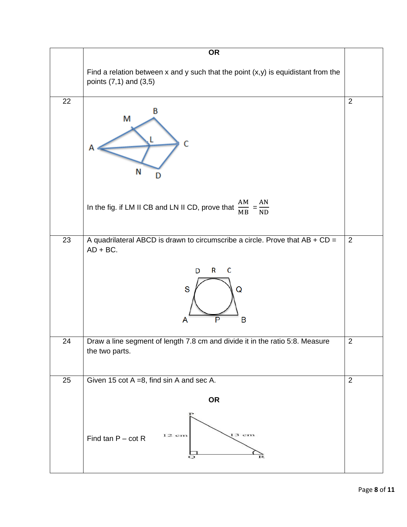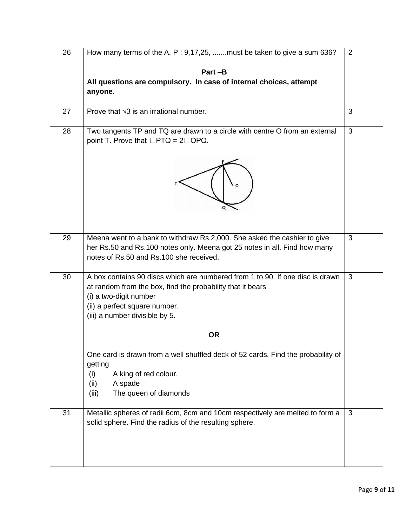| 26 | How many terms of the A. P: $9,17,25, \dots$ must be taken to give a sum 636?                                                                                                                                                            | $\overline{2}$ |
|----|------------------------------------------------------------------------------------------------------------------------------------------------------------------------------------------------------------------------------------------|----------------|
|    | Part-B                                                                                                                                                                                                                                   |                |
|    | All questions are compulsory. In case of internal choices, attempt<br>anyone.                                                                                                                                                            |                |
| 27 | Prove that $\sqrt{3}$ is an irrational number.                                                                                                                                                                                           | 3              |
| 28 | Two tangents TP and TQ are drawn to a circle with centre O from an external<br>point T. Prove that $\Box$ PTQ = 2 $\Box$ OPQ.                                                                                                            | 3              |
| 29 | Meena went to a bank to withdraw Rs.2,000. She asked the cashier to give<br>her Rs.50 and Rs.100 notes only. Meena got 25 notes in all. Find how many<br>notes of Rs.50 and Rs.100 she received.                                         | 3              |
| 30 | A box contains 90 discs which are numbered from 1 to 90. If one disc is drawn<br>at random from the box, find the probability that it bears<br>(i) a two-digit number<br>(ii) a perfect square number.<br>(iii) a number divisible by 5. | 3              |
|    | <b>OR</b>                                                                                                                                                                                                                                |                |
|    | One card is drawn from a well shuffled deck of 52 cards. Find the probability of<br>getting<br>(i)<br>A king of red colour.<br>A spade<br>(ii)<br>The queen of diamonds<br>(iii)                                                         |                |
| 31 | Metallic spheres of radii 6cm, 8cm and 10cm respectively are melted to form a<br>solid sphere. Find the radius of the resulting sphere.                                                                                                  | 3              |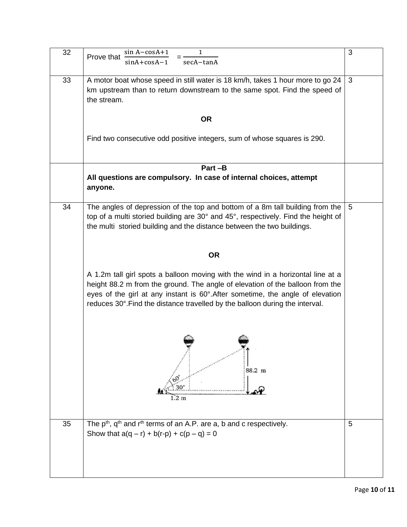| 32 | sin A-cosA+1<br>1<br>Prove that<br>secA-tanA<br>$sinA + cosA - 1$                                                                                                                                                                                                                                                                  | 3               |
|----|------------------------------------------------------------------------------------------------------------------------------------------------------------------------------------------------------------------------------------------------------------------------------------------------------------------------------------|-----------------|
| 33 | A motor boat whose speed in still water is 18 km/h, takes 1 hour more to go 24                                                                                                                                                                                                                                                     | 3               |
|    | km upstream than to return downstream to the same spot. Find the speed of<br>the stream.                                                                                                                                                                                                                                           |                 |
|    | <b>OR</b>                                                                                                                                                                                                                                                                                                                          |                 |
|    | Find two consecutive odd positive integers, sum of whose squares is 290.                                                                                                                                                                                                                                                           |                 |
|    | Part-B                                                                                                                                                                                                                                                                                                                             |                 |
|    | All questions are compulsory. In case of internal choices, attempt<br>anyone.                                                                                                                                                                                                                                                      |                 |
| 34 | The angles of depression of the top and bottom of a 8m tall building from the<br>top of a multi storied building are 30° and 45°, respectively. Find the height of<br>the multi storied building and the distance between the two buildings.                                                                                       | $5\phantom{.0}$ |
|    | <b>OR</b>                                                                                                                                                                                                                                                                                                                          |                 |
|    | A 1.2m tall girl spots a balloon moving with the wind in a horizontal line at a<br>height 88.2 m from the ground. The angle of elevation of the balloon from the<br>eyes of the girl at any instant is 60°. After sometime, the angle of elevation<br>reduces 30°. Find the distance travelled by the balloon during the interval. |                 |
|    | 88.2 m<br>$1.2 \text{ m}$                                                                                                                                                                                                                                                                                                          |                 |
| 35 | The $p^{th}$ , $q^{th}$ and $r^{th}$ terms of an A.P. are a, b and c respectively.                                                                                                                                                                                                                                                 | 5               |
|    | Show that $a(q - r) + b(r-p) + c(p - q) = 0$                                                                                                                                                                                                                                                                                       |                 |